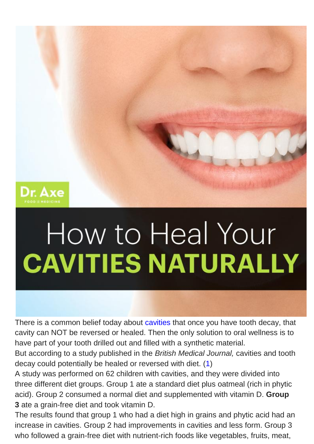

## How to Heal Your **CAVITIES NATURALLY**

There is a common belief today about [cavities](http://www.webmd.com/oral-health/guide/dental-health-cavities) that once you have tooth decay, that cavity can NOT be reversed or healed. Then the only solution to oral wellness is to have part of your tooth drilled out and filled with a synthetic material.

But according to a study published in the *British Medical Journal,* cavities and tooth decay could potentially be healed or reversed with diet. [\(1\)](http://www.ncbi.nlm.nih.gov/pmc/articles/PMC2520490/)

A study was performed on 62 children with cavities, and they were divided into three different diet groups. Group 1 ate a standard diet plus oatmeal (rich in phytic acid). Group 2 consumed a normal diet and supplemented with vitamin D. **Group 3** ate a grain-free diet and took vitamin D.

The results found that group 1 who had a diet high in grains and phytic acid had an increase in cavities. Group 2 had improvements in cavities and less form. Group 3 who followed a grain-free diet with nutrient-rich foods like vegetables, fruits, meat,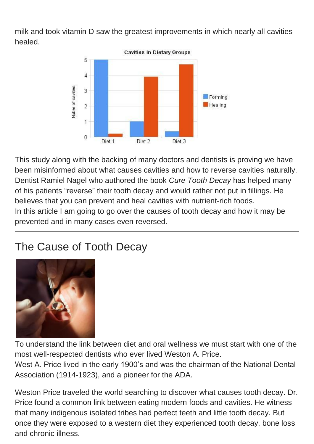milk and took vitamin D saw the greatest improvements in which nearly all cavities healed.



This study along with the backing of many doctors and dentists is proving we have been misinformed about what causes cavities and how to reverse cavities naturally. Dentist Ramiel Nagel who authored the book *Cure Tooth Decay* has helped many of his patients "reverse" their tooth decay and would rather not put in fillings. He believes that you can prevent and heal cavities with nutrient-rich foods. In this article I am going to go over the causes of tooth decay and how it may be prevented and in many cases even reversed.

## The Cause of Tooth Decay



To understand the link between diet and oral wellness we must start with one of the most well-respected dentists who ever lived Weston A. Price.

West A. Price lived in the early 1900's and was the chairman of the National Dental Association (1914-1923), and a pioneer for the ADA.

Weston Price traveled the world searching to discover what causes tooth decay. Dr. Price found a common link between eating modern foods and cavities. He witness that many indigenous isolated tribes had perfect teeth and little tooth decay. But once they were exposed to a western diet they experienced tooth decay, bone loss and chronic illness.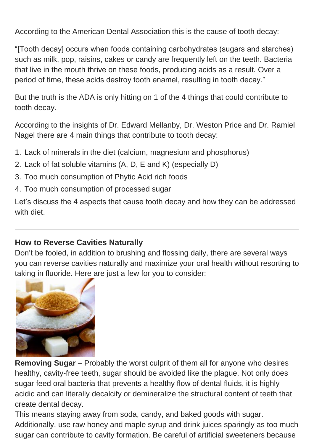According to the American Dental Association this is the cause of tooth decay:

"[Tooth decay] occurs when foods containing carbohydrates (sugars and starches) such as milk, pop, raisins, cakes or candy are frequently left on the teeth. Bacteria that live in the mouth thrive on these foods, producing acids as a result. Over a period of time, these acids destroy tooth enamel, resulting in tooth decay."

But the truth is the ADA is only hitting on 1 of the 4 things that could contribute to tooth decay.

According to the insights of Dr. Edward Mellanby, Dr. Weston Price and Dr. Ramiel Nagel there are 4 main things that contribute to tooth decay:

- 1. Lack of minerals in the diet (calcium, magnesium and phosphorus)
- 2. Lack of fat soluble vitamins (A, D, E and K) (especially D)
- 3. Too much consumption of Phytic Acid rich foods
- 4. Too much consumption of processed sugar

Let's discuss the 4 aspects that cause tooth decay and how they can be addressed with diet.

## **How to Reverse Cavities Naturally**

Don't be fooled, in addition to brushing and flossing daily, there are several ways you can reverse cavities naturally and maximize your oral health without resorting to taking in fluoride. Here are just a few for you to consider:



**Removing Sugar** – Probably the worst culprit of them all for anyone who desires healthy, cavity-free teeth, sugar should be avoided like the plague. Not only does sugar feed oral bacteria that prevents a healthy flow of dental fluids, it is highly acidic and can literally decalcify or demineralize the structural content of teeth that create dental decay.

This means staying away from soda, candy, and baked goods with sugar. Additionally, use raw honey and maple syrup and drink juices sparingly as too much sugar can contribute to cavity formation. Be careful of artificial sweeteners because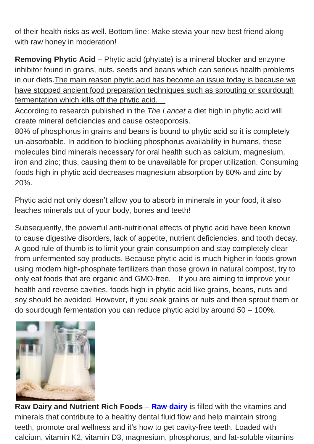of their health risks as well. Bottom line: Make stevia your new best friend along with raw honey in moderation!

**Removing Phytic Acid** – Phytic acid (phytate) is a mineral blocker and enzyme inhibitor found in grains, nuts, seeds and beans which can serious health problems in our diets.The main reason phytic acid has become an issue today is because we have stopped ancient food preparation techniques such as sprouting or sourdough fermentation which kills off the phytic acid.

According to research published in the *The Lancet* a diet high in phytic acid will create mineral deficiencies and cause osteoporosis.

80% of phosphorus in grains and beans is bound to phytic acid so it is completely un-absorbable. In addition to blocking phosphorus availability in humans, these molecules bind minerals necessary for oral health such as calcium, magnesium, iron and zinc; thus, causing them to be unavailable for proper utilization. Consuming foods high in phytic acid decreases magnesium absorption by 60% and zinc by 20%.

Phytic acid not only doesn't allow you to absorb in minerals in your food, it also leaches minerals out of your body, bones and teeth!

Subsequently, the powerful anti-nutritional effects of phytic acid have been known to cause digestive disorders, lack of appetite, nutrient deficiencies, and tooth decay. A good rule of thumb is to limit your grain consumption and stay completely clear from unfermented soy products. Because phytic acid is much higher in foods grown using modern high-phosphate fertilizers than those grown in natural compost, try to only eat foods that are organic and GMO-free. If you are aiming to improve your health and reverse cavities, foods high in phytic acid like grains, beans, nuts and soy should be avoided. However, if you soak grains or nuts and then sprout them or do sourdough fermentation you can reduce phytic acid by around 50 – 100%.



**Raw Dairy and Nutrient Rich Foods** – **Raw [dairy](http://draxe.com/naturally-reverse-cavities-heal-tooth-decay/)** is filled with the vitamins and minerals that contribute to a healthy dental fluid flow and help maintain strong teeth, promote oral wellness and it's how to get cavity-free teeth. Loaded with calcium, vitamin K2, vitamin D3, magnesium, phosphorus, and fat-soluble vitamins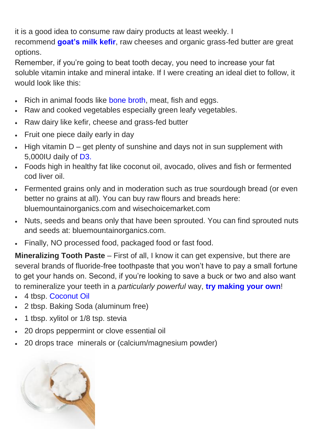it is a good idea to consume raw dairy products at least weekly. I recommend **[goat's](http://draxe.com/kefir-benefits/) milk kefir**, raw cheeses and organic grass-fed butter are great options.

Remember, if you're going to beat tooth decay, you need to increase your fat soluble vitamin intake and mineral intake. If I were creating an ideal diet to follow, it would look like this:

- Rich in animal foods like bone [broth,](http://draxe.com/naturally-reverse-cavities-heal-tooth-decay/) meat, fish and eggs.
- Raw and cooked vegetables especially green leafy vegetables.
- Raw dairy like kefir, cheese and grass-fed butter
- Fruit one piece daily early in day
- $\cdot$  High vitamin D get plenty of sunshine and days not in sun supplement with 5,000IU daily of [D3.](http://store.draxe.com/collections/supplements/products/fish-oil)
- Foods high in healthy fat like coconut oil, avocado, olives and fish or fermented cod liver oil.
- Fermented grains only and in moderation such as true sourdough bread (or even better no grains at all). You can buy raw flours and breads here: bluemountainorganics.com and wisechoicemarket.com
- Nuts, seeds and beans only that have been sprouted. You can find sprouted nuts and seeds at: bluemountainorganics.com.
- Finally, NO processed food, packaged food or fast food.

**Mineralizing Tooth Paste** – First of all, I know it can get expensive, but there are several brands of fluoride-free toothpaste that you won't have to pay a small fortune to get your hands on. Second, if you're looking to save a buck or two and also want to remineralize your teeth in a *particularly powerful* way, **try [making](http://draxe.com/homemade-remineralizing-toothpaste/) your own**!

- 4 tbsp. [Coconut](http://draxe.com/coconut-oil-uses/) Oil
- 2 tbsp. Baking Soda (aluminum free)
- 1 tbsp. xylitol or 1/8 tsp. stevia
- 20 drops peppermint or clove essential oil
- 20 drops trace minerals or (calcium/magnesium powder)